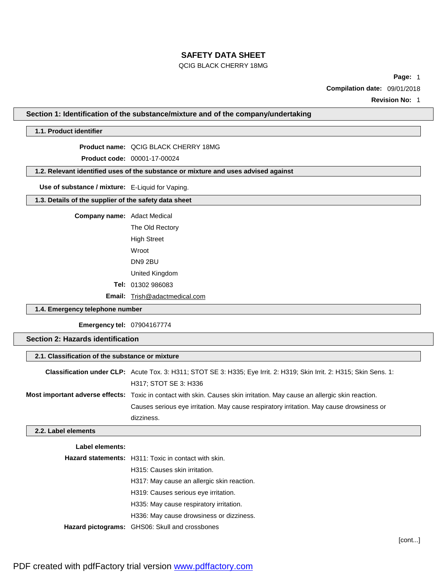### QCIG BLACK CHERRY 18MG

**Page:** 1

**Compilation date:** 09/01/2018

**Revision No:** 1

**Section 1: Identification of the substance/mixture and of the company/undertaking**

## **1.1. Product identifier**

**Product name:** QCIG BLACK CHERRY 18MG

**Product code:** 00001-17-00024

**1.2. Relevant identified uses of the substance or mixture and uses advised against**

**Use of substance / mixture:** E-Liquid for Vaping.

### **1.3. Details of the supplier of the safety data sheet**

**Company name:** Adact Medical

The Old Rectory High Street Wroot DN9 2BU United Kingdom **Tel:** 01302 986083

**Email:** [Trish@adactmedical.com](mailto:Trish@adactmedical.com)

### **1.4. Emergency telephone number**

**Emergency tel:** 07904167774

## **Section 2: Hazards identification**

| 2.1. Classification of the substance or mixture |                                                                                                                          |  |  |
|-------------------------------------------------|--------------------------------------------------------------------------------------------------------------------------|--|--|
|                                                 | Classification under CLP: Acute Tox. 3: H311; STOT SE 3: H335; Eye Irrit. 2: H319; Skin Irrit. 2: H315; Skin Sens. 1:    |  |  |
|                                                 | H317; STOT SE 3: H336                                                                                                    |  |  |
|                                                 | Most important adverse effects: Toxic in contact with skin. Causes skin irritation. May cause an allergic skin reaction. |  |  |
|                                                 | Causes serious eye irritation. May cause respiratory irritation. May cause drowsiness or                                 |  |  |
|                                                 | dizziness.                                                                                                               |  |  |

### **2.2. Label elements**

| Label elements: |                                                             |
|-----------------|-------------------------------------------------------------|
|                 | <b>Hazard statements:</b> H311: Toxic in contact with skin. |
|                 | H315: Causes skin irritation.                               |
|                 | H317: May cause an allergic skin reaction.                  |
|                 | H319: Causes serious eye irritation.                        |
|                 | H335: May cause respiratory irritation.                     |
|                 | H336: May cause drowsiness or dizziness.                    |
|                 | Hazard pictograms: GHS06: Skull and crossbones              |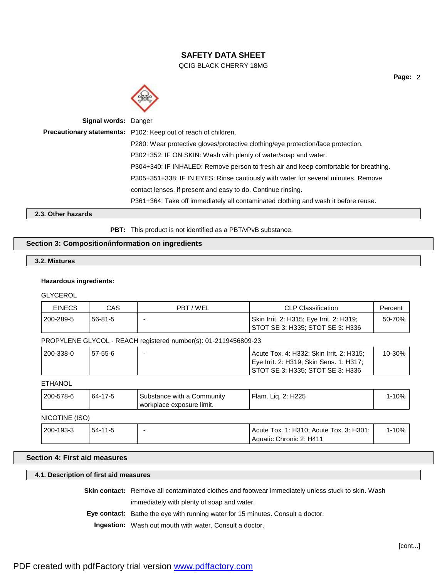QCIG BLACK CHERRY 18MG



| <b>Signal words: Danger</b> |                                                                                      |
|-----------------------------|--------------------------------------------------------------------------------------|
|                             | Precautionary statements: P102: Keep out of reach of children.                       |
|                             | P280: Wear protective gloves/protective clothing/eye protection/face protection.     |
|                             | P302+352: IF ON SKIN: Wash with plenty of water/soap and water.                      |
|                             | P304+340: IF INHALED: Remove person to fresh air and keep comfortable for breathing. |
|                             | P305+351+338: IF IN EYES: Rinse cautiously with water for several minutes. Remove    |
|                             | contact lenses, if present and easy to do. Continue rinsing.                         |
|                             | P361+364: Take off immediately all contaminated clothing and wash it before reuse.   |
|                             |                                                                                      |

**2.3. Other hazards**

PBT: This product is not identified as a PBT/vPvB substance.

### **Section 3: Composition/information on ingredients**

## **3.2. Mixtures**

### **Hazardous ingredients:**

**GLYCEROL** 

| <b>EINECS</b>  | <b>CAS</b> | PBT / WEL                                                       | <b>CLP Classification</b>                                                                                               | Percent   |
|----------------|------------|-----------------------------------------------------------------|-------------------------------------------------------------------------------------------------------------------------|-----------|
| 200-289-5      | $56-81-5$  |                                                                 | Skin Irrit. 2: H315; Eye Irrit. 2: H319;<br>STOT SE 3: H335; STOT SE 3: H336                                            | 50-70%    |
|                |            | PROPYLENE GLYCOL - REACH registered number(s): 01-2119456809-23 |                                                                                                                         |           |
| 200-338-0      | $57-55-6$  |                                                                 | Acute Tox. 4: H332; Skin Irrit. 2: H315;<br>Eye Irrit. 2: H319; Skin Sens. 1: H317;<br>STOT SE 3: H335; STOT SE 3: H336 | 10-30%    |
| <b>ETHANOL</b> |            |                                                                 |                                                                                                                         |           |
| 200-578-6      | 64-17-5    | Substance with a Community<br>workplace exposure limit.         | Flam. Liq. 2: H225                                                                                                      | $1 - 10%$ |

## NICOTINE (ISO)

| 200-193-3 | $54 - 11 - 5$ | Acute Tox. 1: H310; Acute Tox. 3: H301; | 10% |
|-----------|---------------|-----------------------------------------|-----|
|           |               | Aquatic Chronic 2: H411                 |     |

## **Section 4: First aid measures**

## **4.1. Description of first aid measures**

**Skin contact:** Remove all contaminated clothes and footwear immediately unless stuck to skin. Wash

immediately with plenty of soap and water.

**Eye contact:** Bathe the eye with running water for 15 minutes. Consult a doctor.

**Ingestion:** Wash out mouth with water. Consult a doctor.

**Page:** 2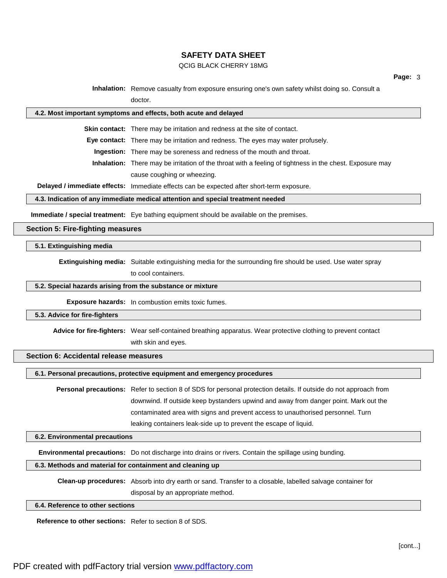#### QCIG BLACK CHERRY 18MG

**Inhalation:** Remove casualty from exposure ensuring one's own safety whilst doing so. Consult a doctor.

#### **4.2. Most important symptoms and effects, both acute and delayed**

**Skin contact:** There may be irritation and redness at the site of contact.

**Eye contact:** There may be irritation and redness. The eyes may water profusely.

**Ingestion:** There may be soreness and redness of the mouth and throat.

**Inhalation:** There may be irritation of the throat with a feeling of tightness in the chest. Exposure may cause coughing or wheezing.

**Delayed / immediate effects:** Immediate effects can be expected after short-term exposure.

#### **4.3. Indication of any immediate medical attention and special treatment needed**

**Immediate / special treatment:** Eye bathing equipment should be available on the premises.

#### **Section 5: Fire-fighting measures**

#### **5.1. Extinguishing media**

**Extinguishing media:** Suitable extinguishing media for the surrounding fire should be used. Use water spray

to cool containers.

#### **5.2. Special hazards arising from the substance or mixture**

**Exposure hazards:** In combustion emits toxic fumes.

#### **5.3. Advice for fire-fighters**

**Advice for fire-fighters:** Wear self-contained breathing apparatus. Wear protective clothing to prevent contact

with skin and eyes.

### **Section 6: Accidental release measures**

**6.1. Personal precautions, protective equipment and emergency procedures**

**Personal precautions:** Refer to section 8 of SDS for personal protection details. If outside do not approach from downwind. If outside keep bystanders upwind and away from danger point. Mark out the contaminated area with signs and prevent access to unauthorised personnel. Turn leaking containers leak-side up to prevent the escape of liquid.

### **6.2. Environmental precautions**

**Environmental precautions:** Do not discharge into drains or rivers. Contain the spillage using bunding.

### **6.3. Methods and material for containment and cleaning up**

**Clean-up procedures:** Absorb into dry earth or sand. Transfer to a closable, labelled salvage container for disposal by an appropriate method.

**6.4. Reference to other sections**

**Reference to other sections:** Refer to section 8 of SDS.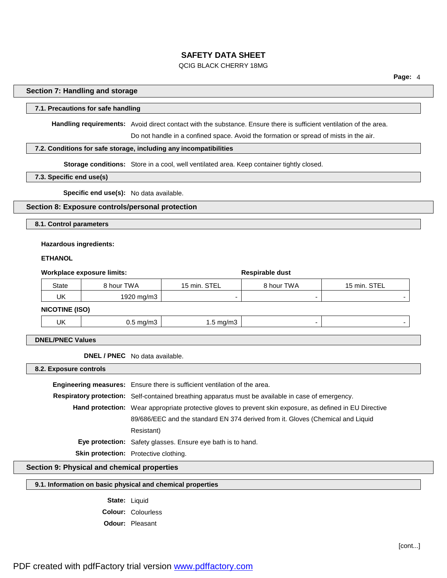#### QCIG BLACK CHERRY 18MG

**Page:** 4

#### **Section 7: Handling and storage**

### **7.1. Precautions for safe handling**

**Handling requirements:** Avoid direct contact with the substance. Ensure there is sufficient ventilation of the area.

Do not handle in a confined space. Avoid the formation or spread of mists in the air.

### **7.2. Conditions for safe storage, including any incompatibilities**

**Storage conditions:** Store in a cool, well ventilated area. Keep container tightly closed.

#### **7.3. Specific end use(s)**

**Specific end use(s):** No data available.

#### **Section 8: Exposure controls/personal protection**

**8.1. Control parameters**

#### **Hazardous ingredients:**

#### **ETHANOL**

| Workplace exposure limits: |                      |                      | Respirable dust |                          |
|----------------------------|----------------------|----------------------|-----------------|--------------------------|
| <b>State</b>               | 8 hour TWA           | 15 min. STEL         | 8 hour TWA      | 15 min. STEL             |
| UK                         | 1920 mg/m3           |                      |                 |                          |
| <b>NICOTINE (ISO)</b>      |                      |                      |                 |                          |
| UK                         | $0.5 \text{ mg/m}$ 3 | $1.5 \text{ mg/m}$ 3 | -               | $\overline{\phantom{a}}$ |

### **DNEL/PNEC Values**

**DNEL / PNEC** No data available.

**8.2. Exposure controls**

**Engineering measures:** Ensure there is sufficient ventilation of the area. **Respiratory protection:** Self-contained breathing apparatus must be available in case of emergency. **Hand protection:** Wear appropriate protective gloves to prevent skin exposure, as defined in EU Directive 89/686/EEC and the standard EN 374 derived from it. Gloves (Chemical and Liquid Resistant) **Eye protection:** Safety glasses. Ensure eye bath is to hand. **Skin protection:** Protective clothing.

**Section 9: Physical and chemical properties**

### **9.1. Information on basic physical and chemical properties**

**State:** Liquid **Colour:** Colourless **Odour:** Pleasant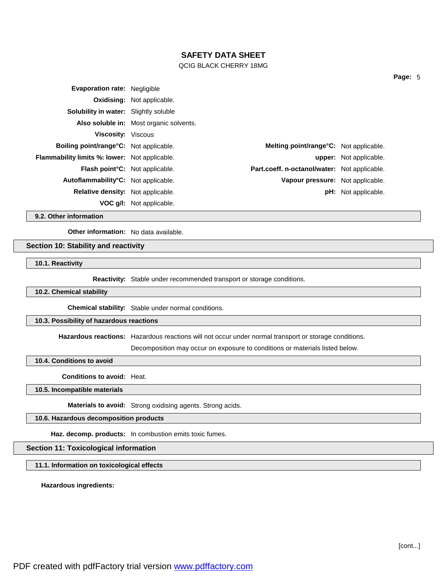#### QCIG BLACK CHERRY 18MG

|                                                                                                                                                                                                                                                                                                                                                                                                                                                                                 | upper: Not applicable.                                                                                                             |
|---------------------------------------------------------------------------------------------------------------------------------------------------------------------------------------------------------------------------------------------------------------------------------------------------------------------------------------------------------------------------------------------------------------------------------------------------------------------------------|------------------------------------------------------------------------------------------------------------------------------------|
|                                                                                                                                                                                                                                                                                                                                                                                                                                                                                 |                                                                                                                                    |
|                                                                                                                                                                                                                                                                                                                                                                                                                                                                                 |                                                                                                                                    |
|                                                                                                                                                                                                                                                                                                                                                                                                                                                                                 | <b>pH:</b> Not applicable.                                                                                                         |
|                                                                                                                                                                                                                                                                                                                                                                                                                                                                                 |                                                                                                                                    |
| <b>Evaporation rate: Negligible</b><br><b>Oxidising: Not applicable.</b><br><b>Solubility in water:</b> Slightly soluble<br>Also soluble in: Most organic solvents.<br><b>Viscosity:</b> Viscous<br><b>Boiling point/range °C:</b> Not applicable.<br><b>Flammability limits %: lower:</b> Not applicable.<br><b>Flash point C:</b> Not applicable.<br>Autoflammability <sup>°</sup> C: Not applicable.<br><b>Relative density:</b> Not applicable.<br>VOC g/I: Not applicable. | <b>Melting point/range °C:</b> Not applicable.<br>Part.coeff. n-octanol/water: Not applicable.<br>Vapour pressure: Not applicable. |

**9.2. Other information**

**Other information:** No data available.

#### **Section 10: Stability and reactivity**

**10.1. Reactivity**

**Reactivity:** Stable under recommended transport or storage conditions.

#### **10.2. Chemical stability**

**Chemical stability:** Stable under normal conditions.

## **10.3. Possibility of hazardous reactions**

**Hazardous reactions:** Hazardous reactions will not occur under normal transport or storage conditions.

Decomposition may occur on exposure to conditions or materials listed below.

**10.4. Conditions to avoid**

**Conditions to avoid:** Heat.

**10.5. Incompatible materials**

**Materials to avoid:** Strong oxidising agents. Strong acids.

**10.6. Hazardous decomposition products**

**Haz. decomp. products:** In combustion emits toxic fumes.

#### **Section 11: Toxicological information**

**11.1. Information on toxicological effects**

**Hazardous ingredients:**

PDF created with pdfFactory trial version [www.pdffactory.com](http://www.pdffactory.com)

**Page:** 5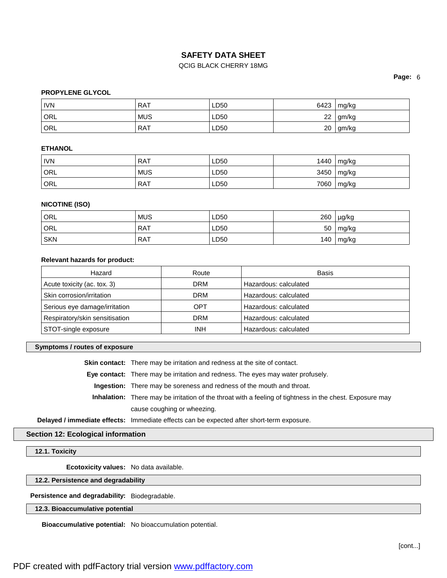### QCIG BLACK CHERRY 18MG

**Page:** 6

### **PROPYLENE GLYCOL**

| <b>IVN</b> | <b>RAT</b> | LD50 | 6423 | mg/kg |
|------------|------------|------|------|-------|
| ORL        | <b>MUS</b> | LD50 | 22   | gm/kg |
| ORL        | RAT        | LD50 | 20   | gm/kg |

### **ETHANOL**

| <b>IVN</b> | RAT        | LD50 | 1440 | mg/kg         |
|------------|------------|------|------|---------------|
| ORL        | <b>MUS</b> | LD50 | 3450 | $\vert$ mg/kg |
| ORL        | RAT        | LD50 | 7060 | mg/kg         |

### **NICOTINE (ISO)**

| ORL        | <b>MUS</b> | LD50 | 260 | µg/kg |
|------------|------------|------|-----|-------|
| ORL        | <b>RAT</b> | LD50 | 50  | mg/kg |
| <b>SKN</b> | <b>RAT</b> | LD50 | 140 | mg/kg |

#### **Relevant hazards for product:**

| Hazard                         | Route      | Basis                 |
|--------------------------------|------------|-----------------------|
| Acute toxicity (ac. tox. 3)    | <b>DRM</b> | Hazardous: calculated |
| Skin corrosion/irritation      | <b>DRM</b> | Hazardous: calculated |
| Serious eye damage/irritation  | OPT        | Hazardous: calculated |
| Respiratory/skin sensitisation | <b>DRM</b> | Hazardous: calculated |
| STOT-single exposure           | <b>INH</b> | Hazardous: calculated |

#### **Symptoms / routes of exposure**

**Skin contact:** There may be irritation and redness at the site of contact.

**Eye contact:** There may be irritation and redness. The eyes may water profusely.

**Ingestion:** There may be soreness and redness of the mouth and throat.

**Inhalation:** There may be irritation of the throat with a feeling of tightness in the chest. Exposure may cause coughing or wheezing.

**Delayed / immediate effects:** Immediate effects can be expected after short-term exposure.

### **Section 12: Ecological information**

**12.1. Toxicity**

**Ecotoxicity values:** No data available.

**12.2. Persistence and degradability**

**Persistence and degradability:** Biodegradable.

### **12.3. Bioaccumulative potential**

**Bioaccumulative potential:** No bioaccumulation potential.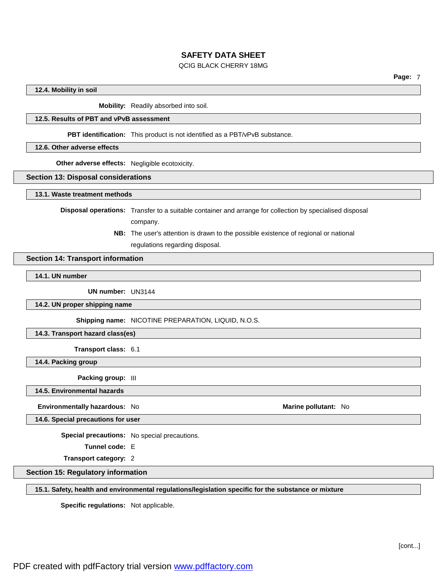### QCIG BLACK CHERRY 18MG

#### **12.4. Mobility in soil**

**Mobility:** Readily absorbed into soil.

### **12.5. Results of PBT and vPvB assessment**

**PBT identification:** This product is not identified as a PBT/vPvB substance.

#### **12.6. Other adverse effects**

**Other adverse effects:** Negligible ecotoxicity.

#### **Section 13: Disposal considerations**

**13.1. Waste treatment methods**

**Disposal operations:** Transfer to a suitable container and arrange for collection by specialised disposal

company.

**NB:** The user's attention is drawn to the possible existence of regional or national regulations regarding disposal.

### **Section 14: Transport information**

**14.1. UN number**

**UN number:** UN3144

**14.2. UN proper shipping name**

**Shipping name:** NICOTINE PREPARATION, LIQUID, N.O.S.

**14.3. Transport hazard class(es)**

**Transport class:** 6.1

**14.4. Packing group**

**Packing group:** III

**14.5. Environmental hazards**

**Environmentally hazardous:** No **Marine Marine Marine** pollutant: No **Marine Marine** pollutant: No

**14.6. Special precautions for user**

**Special precautions:** No special precautions.

**Tunnel code:** E

**Transport category:** 2

**Section 15: Regulatory information**

**15.1. Safety, health and environmental regulations/legislation specific for the substance or mixture**

**Specific regulations:** Not applicable.